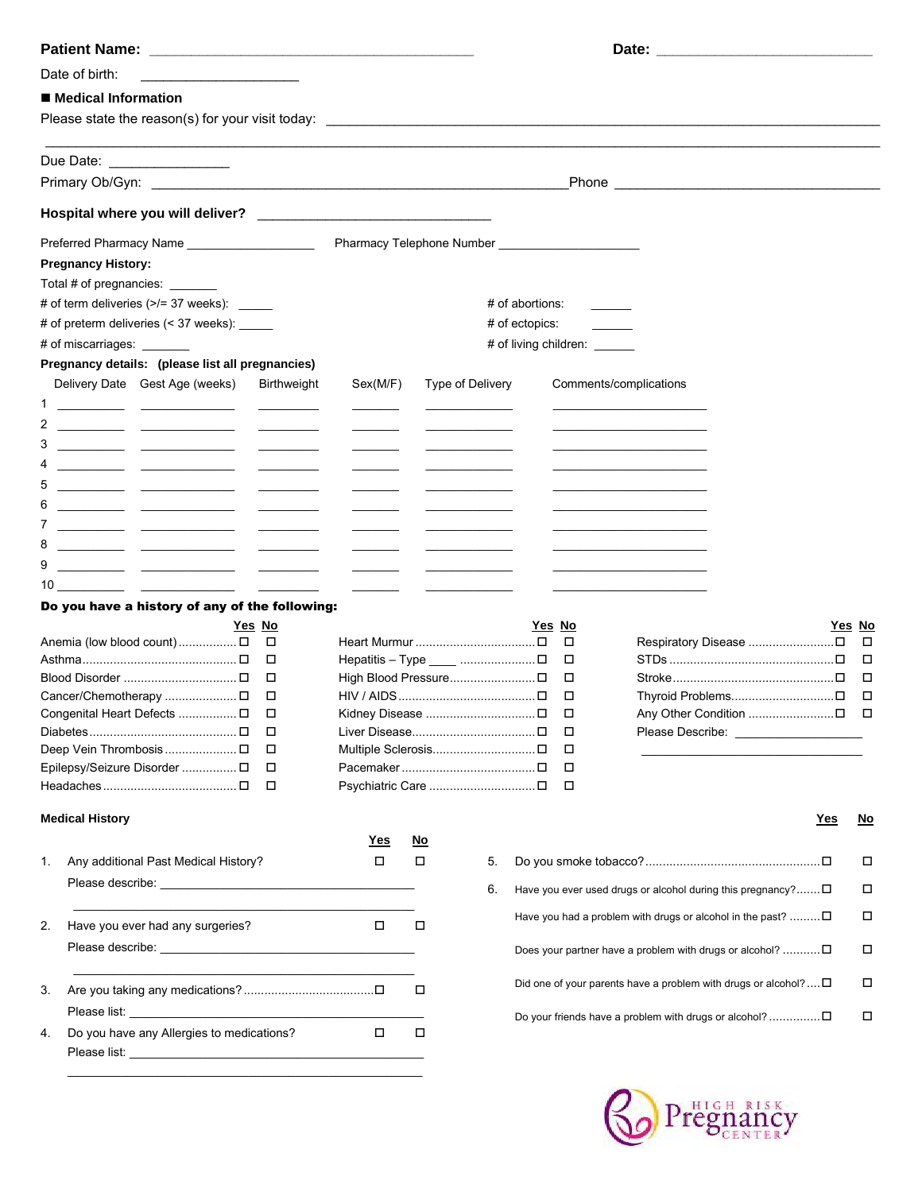|                     | Date of birth:                                                                                                                                                                                                                 |                                                                                                                      |                                                               |           |                  |    |                 |        |                                                                         |           |
|---------------------|--------------------------------------------------------------------------------------------------------------------------------------------------------------------------------------------------------------------------------|----------------------------------------------------------------------------------------------------------------------|---------------------------------------------------------------|-----------|------------------|----|-----------------|--------|-------------------------------------------------------------------------|-----------|
|                     | ■ Medical Information                                                                                                                                                                                                          |                                                                                                                      |                                                               |           |                  |    |                 |        |                                                                         |           |
|                     |                                                                                                                                                                                                                                |                                                                                                                      |                                                               |           |                  |    |                 |        |                                                                         |           |
|                     | Due Date: _________________                                                                                                                                                                                                    |                                                                                                                      |                                                               |           |                  |    |                 |        |                                                                         |           |
|                     |                                                                                                                                                                                                                                |                                                                                                                      |                                                               |           |                  |    |                 |        |                                                                         |           |
|                     |                                                                                                                                                                                                                                |                                                                                                                      |                                                               |           |                  |    |                 |        |                                                                         |           |
|                     | Preferred Pharmacy Name                                                                                                                                                                                                        |                                                                                                                      | Pharmacy Telephone Number [19] [19] Pharmacy Telephone Number |           |                  |    |                 |        |                                                                         |           |
|                     | <b>Pregnancy History:</b>                                                                                                                                                                                                      |                                                                                                                      |                                                               |           |                  |    |                 |        |                                                                         |           |
|                     | Total # of pregnancies: _______                                                                                                                                                                                                |                                                                                                                      |                                                               |           |                  |    |                 |        |                                                                         |           |
|                     | # of term deliveries $($ >/= 37 weeks): ______                                                                                                                                                                                 |                                                                                                                      |                                                               |           |                  |    | # of abortions: |        |                                                                         |           |
|                     | # of preterm deliveries (< 37 weeks): _____                                                                                                                                                                                    |                                                                                                                      |                                                               |           |                  |    | # of ectopics:  |        |                                                                         |           |
|                     | # of miscarriages:                                                                                                                                                                                                             |                                                                                                                      |                                                               |           |                  |    |                 |        | # of living children: ______                                            |           |
|                     | Pregnancy details: (please list all pregnancies)                                                                                                                                                                               |                                                                                                                      |                                                               |           |                  |    |                 |        |                                                                         |           |
|                     | Delivery Date Gest Age (weeks)                                                                                                                                                                                                 | <b>Birthweight</b>                                                                                                   | Sex(M/F)                                                      |           | Type of Delivery |    |                 |        | Comments/complications                                                  |           |
| 1                   |                                                                                                                                                                                                                                |                                                                                                                      |                                                               |           |                  |    |                 |        |                                                                         |           |
|                     |                                                                                                                                                                                                                                |                                                                                                                      |                                                               |           |                  |    |                 |        |                                                                         |           |
| 3                   |                                                                                                                                                                                                                                |                                                                                                                      |                                                               |           |                  |    |                 |        |                                                                         |           |
|                     |                                                                                                                                                                                                                                |                                                                                                                      |                                                               |           |                  |    |                 |        |                                                                         |           |
| 5                   |                                                                                                                                                                                                                                |                                                                                                                      |                                                               |           |                  |    |                 |        |                                                                         |           |
| 6<br>$\overline{7}$ |                                                                                                                                                                                                                                |                                                                                                                      |                                                               |           |                  |    |                 |        |                                                                         |           |
| 8                   |                                                                                                                                                                                                                                |                                                                                                                      |                                                               |           |                  |    |                 |        |                                                                         |           |
| 9                   |                                                                                                                                                                                                                                |                                                                                                                      |                                                               |           |                  |    |                 |        |                                                                         |           |
|                     |                                                                                                                                                                                                                                | $\overline{a}$ and $\overline{a}$ and $\overline{a}$ and $\overline{a}$<br><u>and the community of the community</u> |                                                               |           |                  |    |                 |        |                                                                         |           |
|                     | Do you have a history of any of the following:                                                                                                                                                                                 |                                                                                                                      |                                                               |           |                  |    |                 |        |                                                                         |           |
|                     |                                                                                                                                                                                                                                | <u>Yes_No</u>                                                                                                        |                                                               |           |                  |    | Yes No          |        | Yes No                                                                  |           |
|                     | Anemia (low blood count)  □                                                                                                                                                                                                    | $\Box$                                                                                                               |                                                               |           |                  |    |                 | □      |                                                                         | $\Box$    |
|                     |                                                                                                                                                                                                                                | □                                                                                                                    |                                                               |           |                  |    |                 | □      |                                                                         | □         |
|                     |                                                                                                                                                                                                                                | □                                                                                                                    |                                                               |           |                  |    |                 | □      |                                                                         | □         |
|                     |                                                                                                                                                                                                                                | $\Box$                                                                                                               |                                                               |           |                  |    |                 | □      |                                                                         | $\Box$    |
|                     | Congenital Heart Defects  D                                                                                                                                                                                                    | Ц<br>□                                                                                                               |                                                               |           |                  |    |                 | □<br>□ | Please Describe: _____________________                                  |           |
|                     | Deep Vein Thrombosis  □                                                                                                                                                                                                        | □                                                                                                                    |                                                               |           |                  |    |                 | □      |                                                                         |           |
|                     | Epilepsy/Seizure Disorder  D                                                                                                                                                                                                   | □                                                                                                                    |                                                               |           |                  |    |                 | □      |                                                                         |           |
|                     |                                                                                                                                                                                                                                | $\Box$                                                                                                               |                                                               |           |                  |    |                 | П      |                                                                         |           |
|                     | <b>Medical History</b>                                                                                                                                                                                                         |                                                                                                                      |                                                               |           |                  |    |                 |        | <u>Yes</u>                                                              | <u>No</u> |
|                     |                                                                                                                                                                                                                                |                                                                                                                      | <u>Yes</u>                                                    | <u>No</u> |                  |    |                 |        |                                                                         |           |
| 1.                  | Any additional Past Medical History?                                                                                                                                                                                           |                                                                                                                      | □                                                             | о         |                  | 5. |                 |        |                                                                         | □         |
|                     |                                                                                                                                                                                                                                |                                                                                                                      |                                                               |           |                  | 6. |                 |        | Have you ever used drugs or alcohol during this pregnancy? $\square$    | □         |
| 2.                  | Have you ever had any surgeries?                                                                                                                                                                                               |                                                                                                                      | $\Box$                                                        | П         |                  |    |                 |        | Have you had a problem with drugs or alcohol in the past? $\Box$        | □         |
|                     |                                                                                                                                                                                                                                |                                                                                                                      |                                                               |           |                  |    |                 |        | Does your partner have a problem with drugs or alcohol? $\square$       | □         |
|                     |                                                                                                                                                                                                                                |                                                                                                                      |                                                               | □         |                  |    |                 |        | Did one of your parents have a problem with drugs or alcohol? $\square$ | □         |
| 3.                  | Please list: the contract of the contract of the contract of the contract of the contract of the contract of the contract of the contract of the contract of the contract of the contract of the contract of the contract of t |                                                                                                                      |                                                               |           |                  |    |                 |        | Do your friends have a problem with drugs or alcohol?                   | □         |
| 4.                  | Do you have any Allergies to medications?                                                                                                                                                                                      |                                                                                                                      | $\Box$                                                        | $\Box$    |                  |    |                 |        |                                                                         |           |
|                     |                                                                                                                                                                                                                                |                                                                                                                      |                                                               |           |                  |    |                 |        |                                                                         |           |

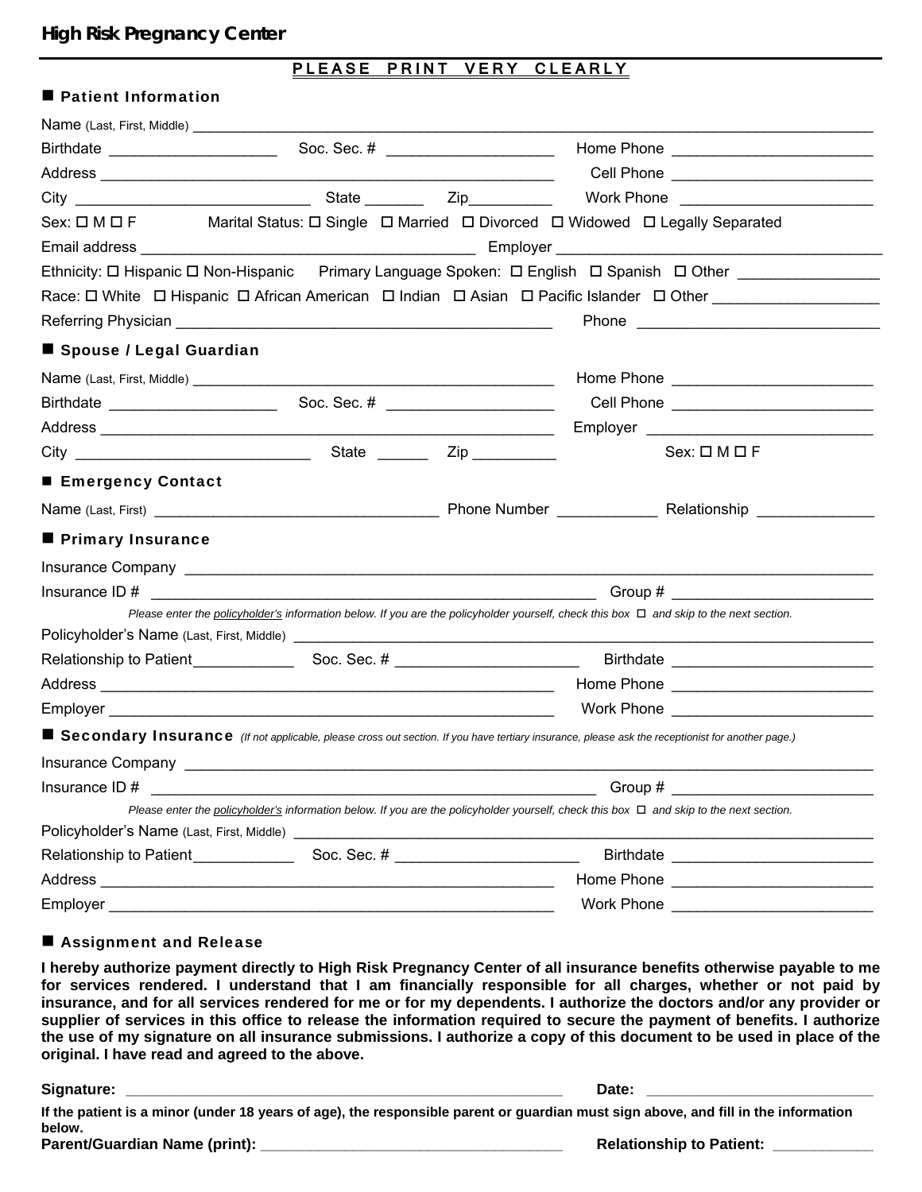# **High Risk Pregnancy Center**

## **PLEASE PRINT VERY CLEARLY**

## **Patient Information**

|                                       |  | Sex: $\Box$ M $\Box$ F Marital Status: $\Box$ Single $\Box$ Married $\Box$ Divorced $\Box$ Widowed $\Box$ Legally Separated                             |
|---------------------------------------|--|---------------------------------------------------------------------------------------------------------------------------------------------------------|
|                                       |  |                                                                                                                                                         |
|                                       |  | Ethnicity: □ Hispanic □ Non-Hispanic Primary Language Spoken: □ English □ Spanish □ Other _______________                                               |
|                                       |  | Race: O White O Hispanic O African American O Indian O Asian O Pacific Islander O Other Commercial Commercial                                           |
|                                       |  |                                                                                                                                                         |
| ■ Spouse / Legal Guardian             |  |                                                                                                                                                         |
|                                       |  |                                                                                                                                                         |
|                                       |  |                                                                                                                                                         |
|                                       |  |                                                                                                                                                         |
|                                       |  | $Sex: \square M \square F$                                                                                                                              |
| ■ Emergency Contact                   |  |                                                                                                                                                         |
|                                       |  |                                                                                                                                                         |
| <b>Primary Insurance</b>              |  |                                                                                                                                                         |
|                                       |  |                                                                                                                                                         |
| Insurance ID # $\qquad \qquad \qquad$ |  | $Group~\#$                                                                                                                                              |
|                                       |  | Please enter the policyholder's information below. If you are the policyholder yourself, check this box $\Box$ and skip to the next section.            |
|                                       |  |                                                                                                                                                         |
|                                       |  |                                                                                                                                                         |
|                                       |  |                                                                                                                                                         |
|                                       |  | Work Phone <b>Work Show Assets</b>                                                                                                                      |
|                                       |  | <b>Secondary Insurance</b> (If not applicable, please cross out section. If you have tertiary insurance, please ask the receptionist for another page.) |
|                                       |  |                                                                                                                                                         |
| Insurance ID#                         |  | Group #                                                                                                                                                 |
|                                       |  | Please enter the policyholder's information below. If you are the policyholder yourself, check this box $\Box$ and skip to the next section.            |
|                                       |  |                                                                                                                                                         |
|                                       |  |                                                                                                                                                         |
|                                       |  |                                                                                                                                                         |
|                                       |  | Work Phone _____________________________                                                                                                                |

## Assignment and Release

 **I hereby authorize payment directly to High Risk Pregnancy Center of all insurance benefits otherwise payable to me for services rendered. I understand that I am financially responsible for all charges, whether or not paid by insurance, and for all services rendered for me or for my dependents. I authorize the doctors and/or any provider or supplier of services in this office to release the information required to secure the payment of benefits. I authorize the use of my signature on all insurance submissions. I authorize a copy of this document to be used in place of the original. I have read and agreed to the above.** 

**Signature: \_\_\_\_\_\_\_\_\_\_\_\_\_\_\_\_\_\_\_\_\_\_\_\_\_\_\_\_\_\_\_\_\_\_\_\_\_\_\_\_\_\_\_\_\_\_\_\_\_\_\_\_ Date: \_\_\_\_\_\_\_\_\_\_\_\_\_\_\_\_\_\_\_\_\_\_\_\_\_\_\_** 

**If the patient is a minor (under 18 years of age), the responsible parent or guardian must sign above, and fill in the information below. Parent/Guardian Name (print): \_\_\_\_\_\_\_\_\_\_\_\_\_\_\_\_\_\_\_\_\_\_\_\_\_\_\_\_\_\_\_\_\_\_\_\_ Relationship to Patient: \_\_\_\_\_\_\_\_\_\_\_\_**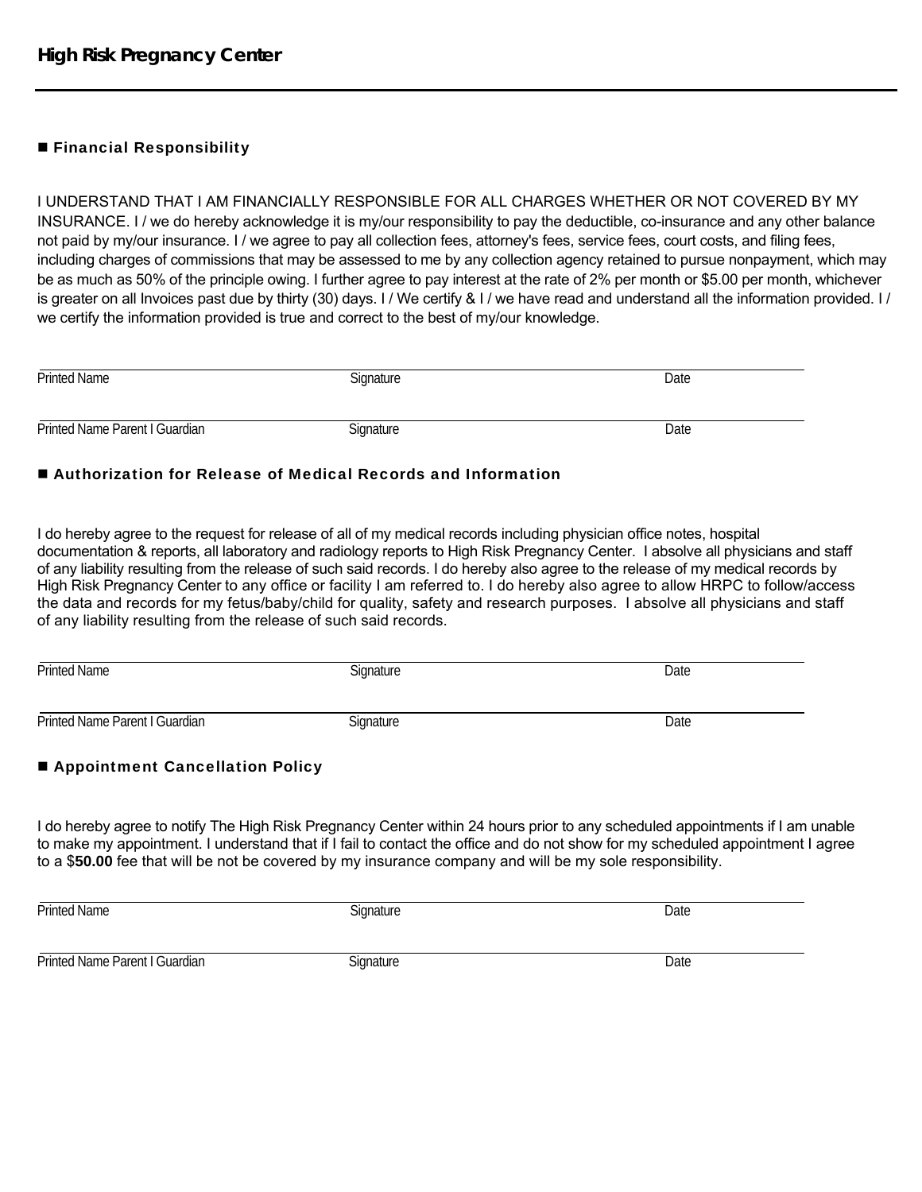# **Financial Responsibility**

I UNDERSTAND THAT I AM FINANCIALLY RESPONSIBLE FOR ALL CHARGES WHETHER OR NOT COVERED BY MY INSURANCE. I / we do hereby acknowledge it is my/our responsibility to pay the deductible, co-insurance and any other balance not paid by my/our insurance. I / we agree to pay all collection fees, attorney's fees, service fees, court costs, and filing fees, including charges of commissions that may be assessed to me by any collection agency retained to pursue nonpayment, which may be as much as 50% of the principle owing. I further agree to pay interest at the rate of 2% per month or \$5.00 per month, whichever is greater on all Invoices past due by thirty (30) days. I / We certify & I / we have read and understand all the information provided. I / we certify the information provided is true and correct to the best of my/our knowledge.

| <b>Printed Name</b>            | Signature | Date |
|--------------------------------|-----------|------|
| Printed Name Parent I Guardian | Signature | Date |

## ■ Authorization for Release of Medical Records and Information

I do hereby agree to the request for release of all of my medical records including physician office notes, hospital documentation & reports, all laboratory and radiology reports to High Risk Pregnancy Center. I absolve all physicians and staff of any liability resulting from the release of such said records. I do hereby also agree to the release of my medical records by High Risk Pregnancy Center to any office or facility I am referred to. I do hereby also agree to allow HRPC to follow/access the data and records for my fetus/baby/child for quality, safety and research purposes. I absolve all physicians and staff of any liability resulting from the release of such said records.

| <b>Printed Name</b>            | Signature | Date |
|--------------------------------|-----------|------|
| Printed Name Parent I Guardian | Signature | Date |

# ■ Appointment Cancellation Policy

I do hereby agree to notify The High Risk Pregnancy Center within 24 hours prior to any scheduled appointments if I am unable to make my appointment. I understand that if I fail to contact the office and do not show for my scheduled appointment I agree to a \$**50.00** fee that will be not be covered by my insurance company and will be my sole responsibility.

| <b>Printed Name</b>            | Signature | Date |
|--------------------------------|-----------|------|
| Printed Name Parent I Guardian | Signature | Date |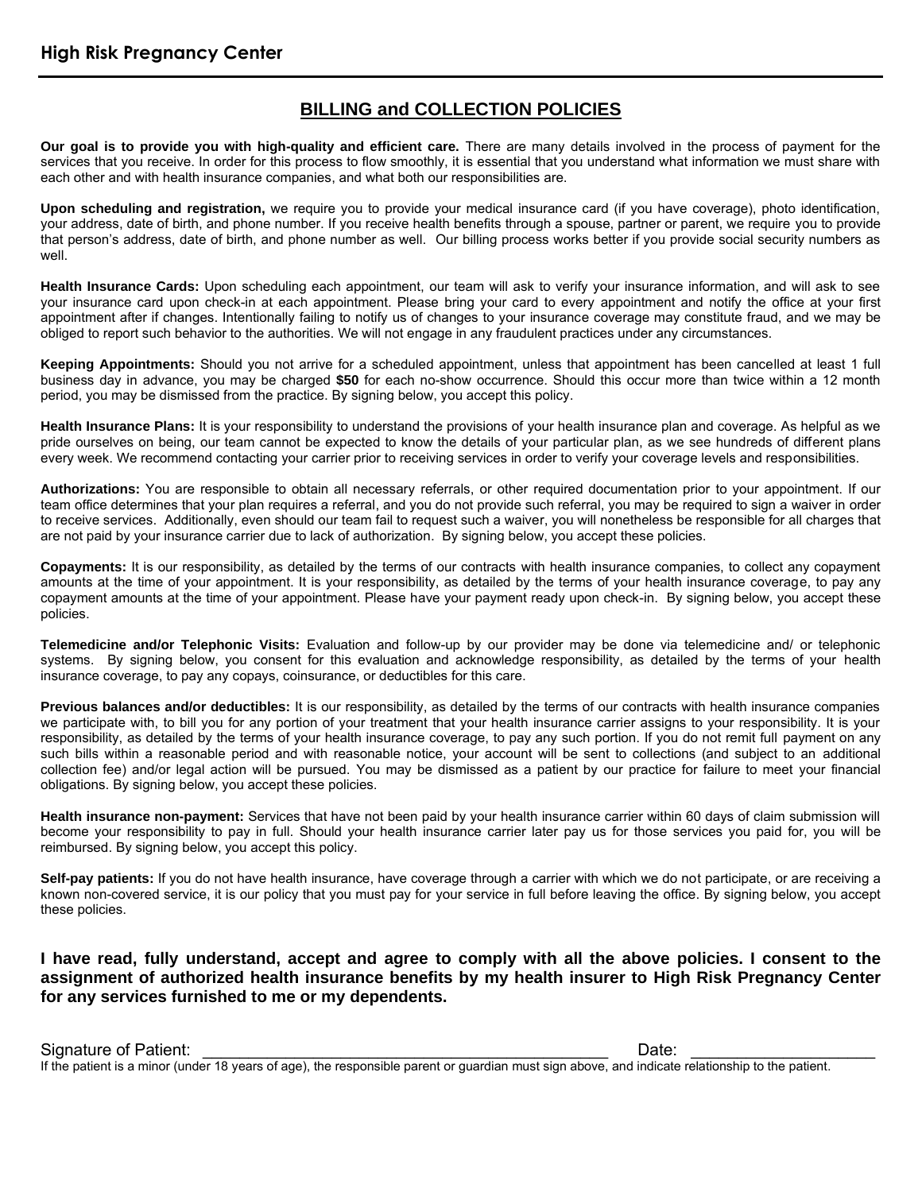# **BILLING and COLLECTION POLICIES**

**Our goal is to provide you with high-quality and efficient care.** There are many details involved in the process of payment for the services that you receive. In order for this process to flow smoothly, it is essential that you understand what information we must share with each other and with health insurance companies, and what both our responsibilities are.

**Upon scheduling and registration,** we require you to provide your medical insurance card (if you have coverage), photo identification, your address, date of birth, and phone number. If you receive health benefits through a spouse, partner or parent, we require you to provide that person's address, date of birth, and phone number as well. Our billing process works better if you provide social security numbers as well.

**Health Insurance Cards:** Upon scheduling each appointment, our team will ask to verify your insurance information, and will ask to see your insurance card upon check-in at each appointment. Please bring your card to every appointment and notify the office at your first appointment after if changes. Intentionally failing to notify us of changes to your insurance coverage may constitute fraud, and we may be obliged to report such behavior to the authorities. We will not engage in any fraudulent practices under any circumstances.

**Keeping Appointments:** Should you not arrive for a scheduled appointment, unless that appointment has been cancelled at least 1 full business day in advance, you may be charged **\$50** for each no-show occurrence. Should this occur more than twice within a 12 month period, you may be dismissed from the practice. By signing below, you accept this policy.

**Health Insurance Plans:** It is your responsibility to understand the provisions of your health insurance plan and coverage. As helpful as we pride ourselves on being, our team cannot be expected to know the details of your particular plan, as we see hundreds of different plans every week. We recommend contacting your carrier prior to receiving services in order to verify your coverage levels and responsibilities.

**Authorizations:** You are responsible to obtain all necessary referrals, or other required documentation prior to your appointment. If our team office determines that your plan requires a referral, and you do not provide such referral, you may be required to sign a waiver in order to receive services. Additionally, even should our team fail to request such a waiver, you will nonetheless be responsible for all charges that are not paid by your insurance carrier due to lack of authorization. By signing below, you accept these policies.

**Copayments:** It is our responsibility, as detailed by the terms of our contracts with health insurance companies, to collect any copayment amounts at the time of your appointment. It is your responsibility, as detailed by the terms of your health insurance coverage, to pay any copayment amounts at the time of your appointment. Please have your payment ready upon check-in. By signing below, you accept these policies.

**Telemedicine and/or Telephonic Visits:** Evaluation and follow-up by our provider may be done via telemedicine and/ or telephonic systems. By signing below, you consent for this evaluation and acknowledge responsibility, as detailed by the terms of your health insurance coverage, to pay any copays, coinsurance, or deductibles for this care.

**Previous balances and/or deductibles:** It is our responsibility, as detailed by the terms of our contracts with health insurance companies we participate with, to bill you for any portion of your treatment that your health insurance carrier assigns to your responsibility. It is your responsibility, as detailed by the terms of your health insurance coverage, to pay any such portion. If you do not remit full payment on any such bills within a reasonable period and with reasonable notice, your account will be sent to collections (and subject to an additional collection fee) and/or legal action will be pursued. You may be dismissed as a patient by our practice for failure to meet your financial obligations. By signing below, you accept these policies.

**Health insurance non-payment:** Services that have not been paid by your health insurance carrier within 60 days of claim submission will become your responsibility to pay in full. Should your health insurance carrier later pay us for those services you paid for, you will be reimbursed. By signing below, you accept this policy.

**Self-pay patients:** If you do not have health insurance, have coverage through a carrier with which we do not participate, or are receiving a known non-covered service, it is our policy that you must pay for your service in full before leaving the office. By signing below, you accept these policies.

**I have read, fully understand, accept and agree to comply with all the above policies. I consent to the assignment of authorized health insurance benefits by my health insurer to High Risk Pregnancy Center for any services furnished to me or my dependents.**

If the patient is a minor (under 18 years of age), the responsible parent or guardian must sign above, and indicate relationship to the patient.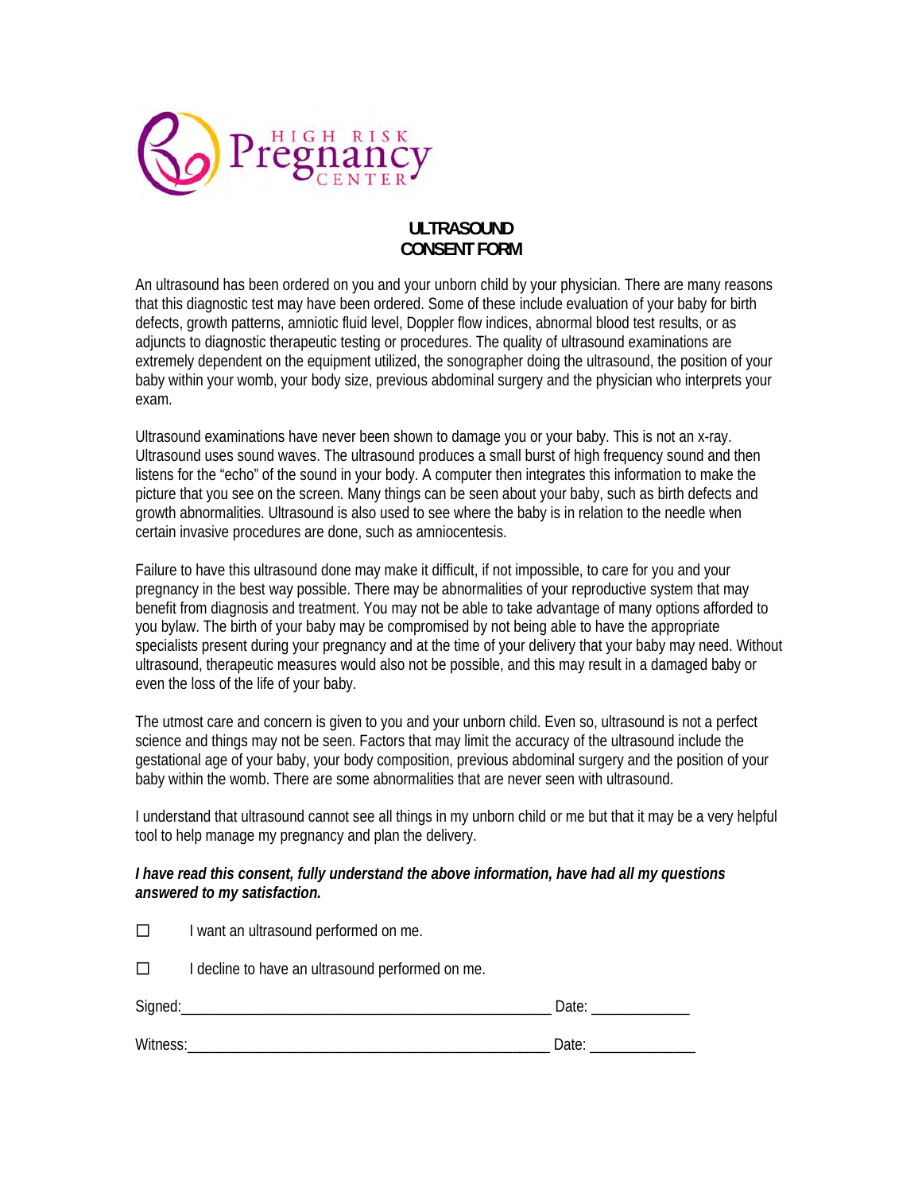

# **ULTRASOUND CONSENT FORM**

An ultrasound has been ordered on you and your unborn child by your physician. There are many reasons that this diagnostic test may have been ordered. Some of these include evaluation of your baby for birth defects, growth patterns, amniotic fluid level, Doppler flow indices, abnormal blood test results, or as adjuncts to diagnostic therapeutic testing or procedures. The quality of ultrasound examinations are extremely dependent on the equipment utilized, the sonographer doing the ultrasound, the position of your baby within your womb, your body size, previous abdominal surgery and the physician who interprets your exam.

Ultrasound examinations have never been shown to damage you or your baby. This is not an x-ray. Ultrasound uses sound waves. The ultrasound produces a small burst of high frequency sound and then listens for the "echo" of the sound in your body. A computer then integrates this information to make the picture that you see on the screen. Many things can be seen about your baby, such as birth defects and growth abnormalities. Ultrasound is also used to see where the baby is in relation to the needle when certain invasive procedures are done, such as amniocentesis.

Failure to have this ultrasound done may make it difficult, if not impossible, to care for you and your pregnancy in the best way possible. There may be abnormalities of your reproductive system that may benefit from diagnosis and treatment. You may not be able to take advantage of many options afforded to you bylaw. The birth of your baby may be compromised by not being able to have the appropriate specialists present during your pregnancy and at the time of your delivery that your baby may need. Without ultrasound, therapeutic measures would also not be possible, and this may result in a damaged baby or even the loss of the life of your baby.

The utmost care and concern is given to you and your unborn child. Even so, ultrasound is not a perfect science and things may not be seen. Factors that may limit the accuracy of the ultrasound include the gestational age of your baby, your body composition, previous abdominal surgery and the position of your baby within the womb. There are some abnormalities that are never seen with ultrasound.

I understand that ultrasound cannot see all things in my unborn child or me but that it may be a very helpful tool to help manage my pregnancy and plan the delivery.

## *I have read this consent, fully understand the above information, have had all my questions answered to my satisfaction.*

| П        | I want an ultrasound performed on me.            |       |
|----------|--------------------------------------------------|-------|
| $\Box$   | I decline to have an ultrasound performed on me. |       |
|          |                                                  | Date: |
| Witness: |                                                  | Date: |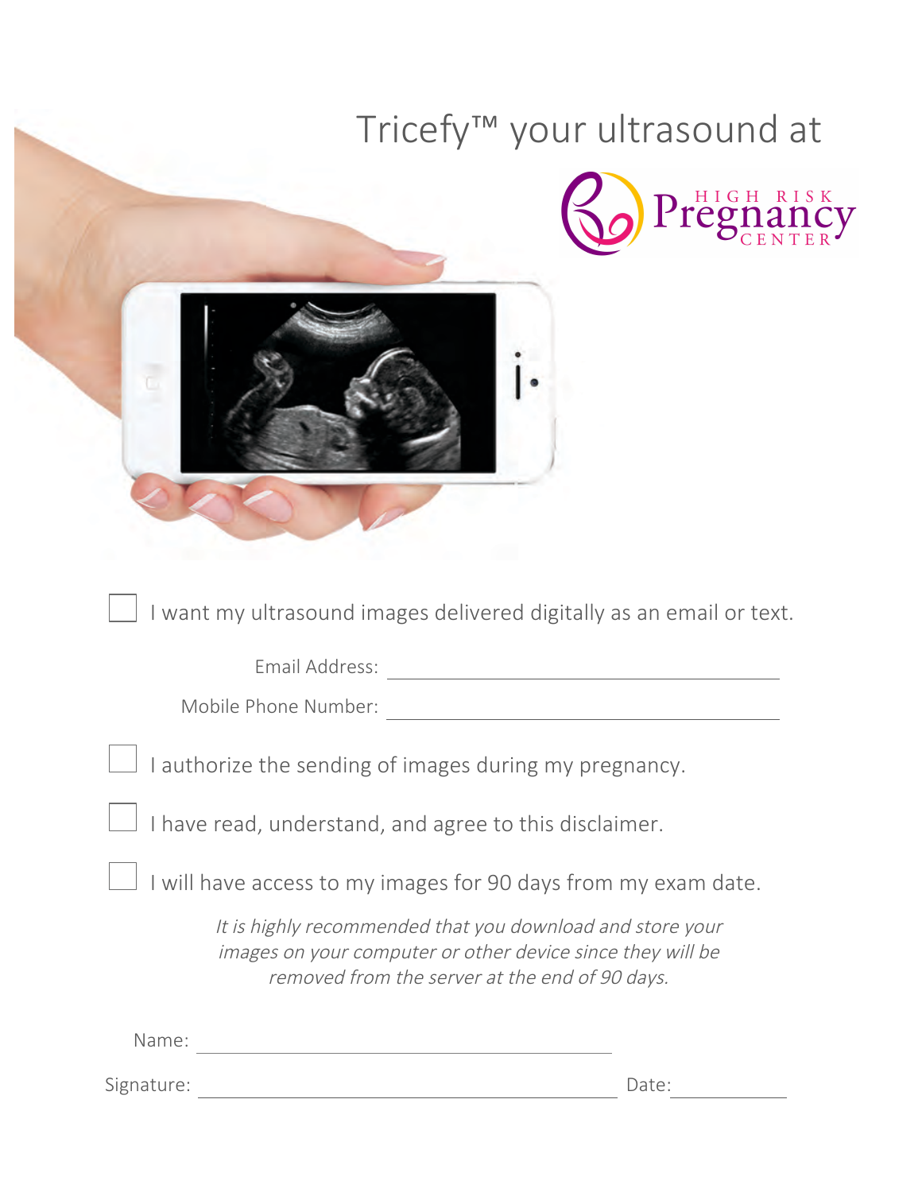|       |                                                                                                                                                                           |  | Tricefy <sup>™</sup> your ultrasound at                              |  |  |  |
|-------|---------------------------------------------------------------------------------------------------------------------------------------------------------------------------|--|----------------------------------------------------------------------|--|--|--|
|       |                                                                                                                                                                           |  | Pregnancy                                                            |  |  |  |
|       |                                                                                                                                                                           |  |                                                                      |  |  |  |
|       |                                                                                                                                                                           |  | I want my ultrasound images delivered digitally as an email or text. |  |  |  |
|       | Email Address:<br>Mobile Phone Number:<br>$\perp$ I authorize the sending of images during my pregnancy.<br>I have read, understand, and agree to this disclaimer.        |  |                                                                      |  |  |  |
|       |                                                                                                                                                                           |  |                                                                      |  |  |  |
|       |                                                                                                                                                                           |  |                                                                      |  |  |  |
|       |                                                                                                                                                                           |  |                                                                      |  |  |  |
|       | I will have access to my images for 90 days from my exam date.                                                                                                            |  |                                                                      |  |  |  |
|       | It is highly recommended that you download and store your<br>images on your computer or other device since they will be<br>removed from the server at the end of 90 days. |  |                                                                      |  |  |  |
| Name: | <u> 1989 - Johann Barn, mars ann an t-Amhain Aonaich an t-Aonaich an t-Aonaich ann an t-Aonaich ann an t-Aonaich</u>                                                      |  |                                                                      |  |  |  |
|       |                                                                                                                                                                           |  | Date:                                                                |  |  |  |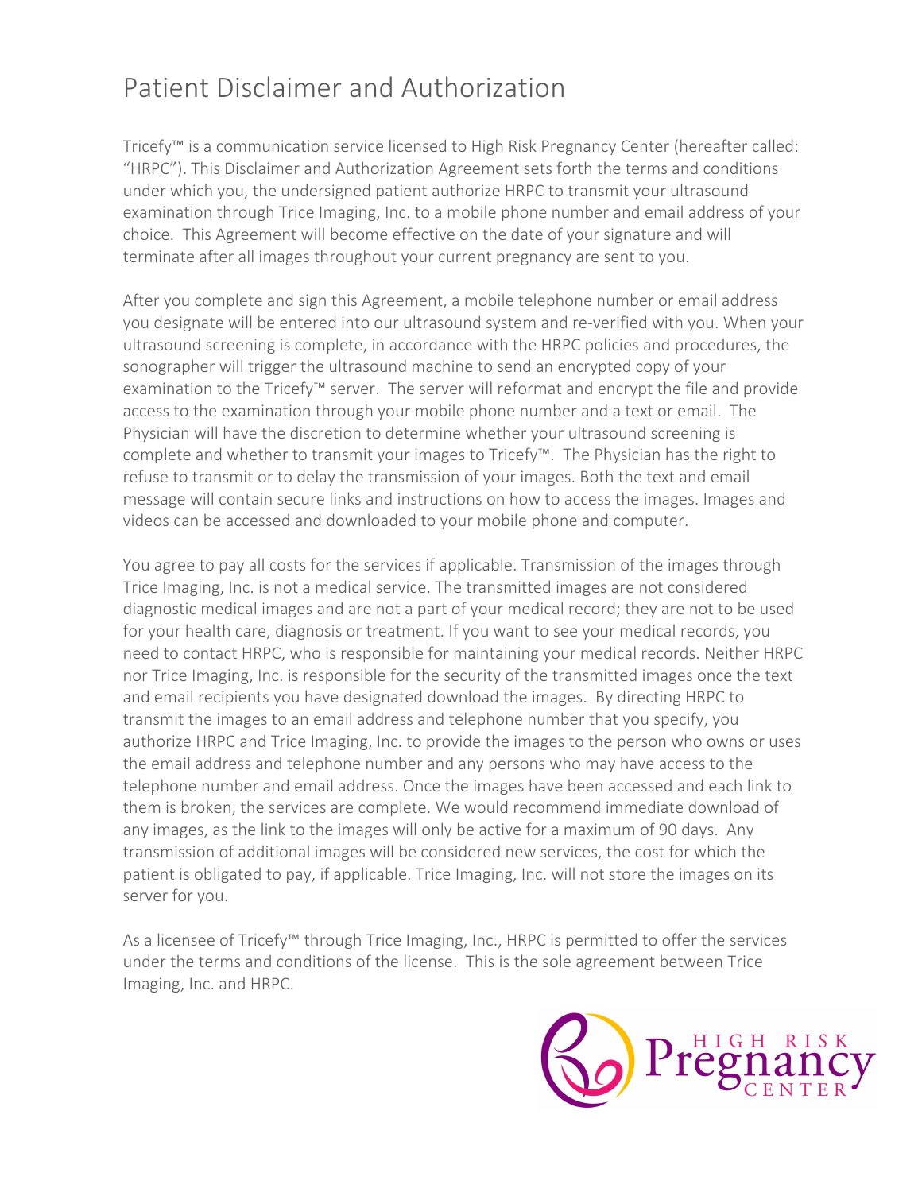# Patient Disclaimer and Authorization

Tricefy™ is a communication service licensed to High Risk Pregnancy Center (hereafter called: "HRPC"). This Disclaimer and Authorization Agreement sets forth the terms and conditions under which you, the undersigned patient authorize HRPC to transmit your ultrasound examination through Trice Imaging, Inc. to a mobile phone number and email address of your choice. This Agreement will become effective on the date of your signature and will terminate after all images throughout your current pregnancy are sent to you.

After you complete and sign this Agreement, a mobile telephone number or email address you designate will be entered into our ultrasound system and re-verified with you. When your ultrasound screening is complete, in accordance with the HRPC policies and procedures, the sonographer will trigger the ultrasound machine to send an encrypted copy of your examination to the Tricefy™ server. The server will reformat and encrypt the file and provide access to the examination through your mobile phone number and a text or email. The Physician will have the discretion to determine whether your ultrasound screening is complete and whether to transmit your images to Tricefy™. The Physician has the right to refuse to transmit or to delay the transmission of your images. Both the text and email message will contain secure links and instructions on how to access the images. Images and videos can be accessed and downloaded to your mobile phone and computer.

You agree to pay all costs for the services if applicable. Transmission of the images through Trice Imaging, Inc. is not a medical service. The transmitted images are not considered diagnostic medical images and are not a part of your medical record; they are not to be used for your health care, diagnosis or treatment. If you want to see your medical records, you need to contact HRPC, who is responsible for maintaining your medical records. Neither HRPC nor Trice Imaging, Inc. is responsible for the security of the transmitted images once the text and email recipients you have designated download the images. By directing HRPC to transmit the images to an email address and telephone number that you specify, you authorize HRPC and Trice Imaging, Inc. to provide the images to the person who owns or uses the email address and telephone number and any persons who may have access to the telephone number and email address. Once the images have been accessed and each link to them is broken, the services are complete. We would recommend immediate download of any images, as the link to the images will only be active for a maximum of 90 days. Any transmission of additional images will be considered new services, the cost for which the patient is obligated to pay, if applicable. Trice Imaging, Inc. will not store the images on its server for you.

As a licensee of Tricefy™ through Trice Imaging, Inc., HRPC is permitted to offer the services under the terms and conditions of the license. This is the sole agreement between Trice Imaging, Inc. and HRPC.

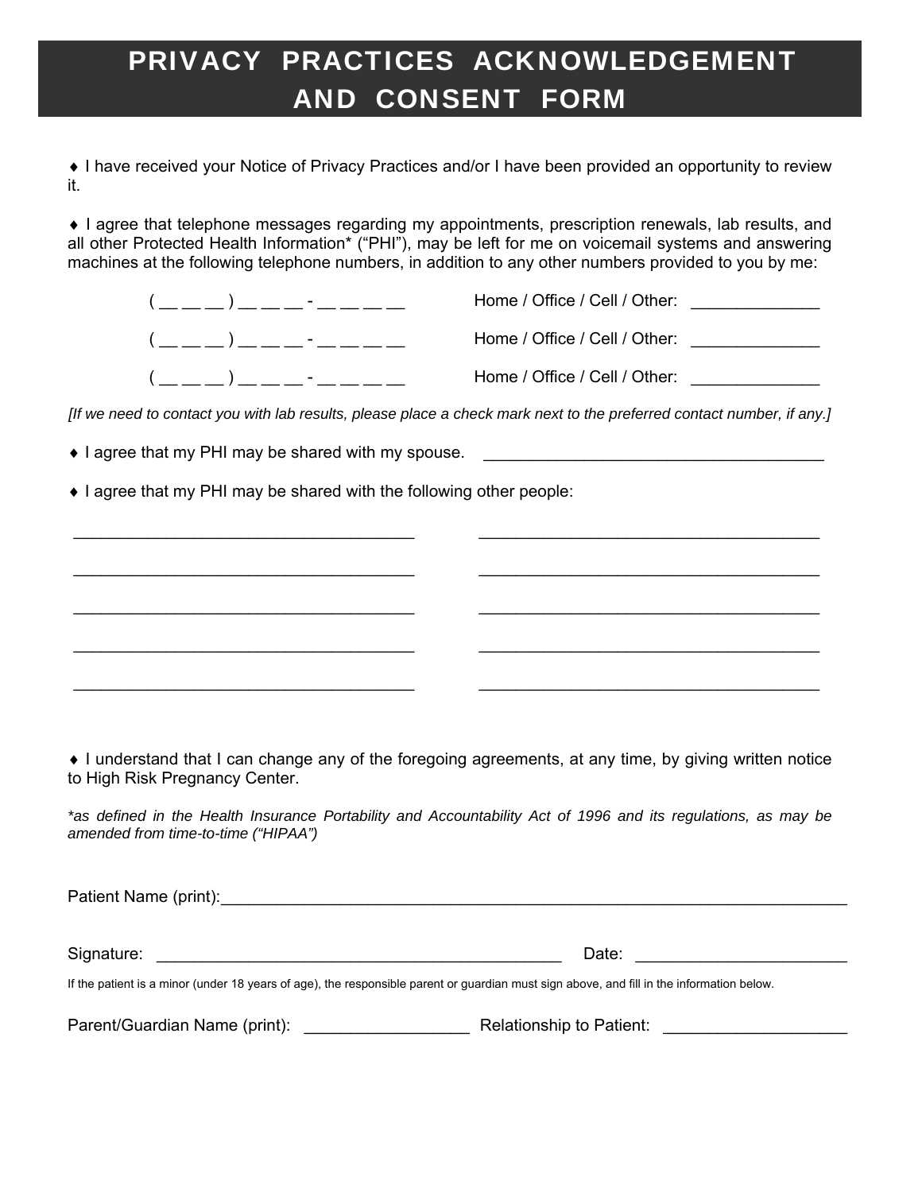# PRIVACY PRACTICES ACKNOWLEDGEMENT AND CONSENT FORM

 I have received your Notice of Privacy Practices and/or I have been provided an opportunity to review it.

 I agree that telephone messages regarding my appointments, prescription renewals, lab results, and all other Protected Health Information\* ("PHI"), may be left for me on voicemail systems and answering machines at the following telephone numbers, in addition to any other numbers provided to you by me:

|                       | Home / Office / Cell / Other: |
|-----------------------|-------------------------------|
| $($ ) - $\frac{1}{2}$ | Home / Office / Cell / Other: |
|                       | Home / Office / Cell / Other: |

*[If we need to contact you with lab results, please place a check mark next to the preferred contact number, if any.]* 

\_\_\_\_\_\_\_\_\_\_\_\_\_\_\_\_\_\_\_\_\_\_\_\_\_\_\_\_\_\_\_\_\_\_\_\_\_ \_\_\_\_\_\_\_\_\_\_\_\_\_\_\_\_\_\_\_\_\_\_\_\_\_\_\_\_\_\_\_\_\_\_\_\_\_

\_\_\_\_\_\_\_\_\_\_\_\_\_\_\_\_\_\_\_\_\_\_\_\_\_\_\_\_\_\_\_\_\_\_\_\_\_ \_\_\_\_\_\_\_\_\_\_\_\_\_\_\_\_\_\_\_\_\_\_\_\_\_\_\_\_\_\_\_\_\_\_\_\_\_

\_\_\_\_\_\_\_\_\_\_\_\_\_\_\_\_\_\_\_\_\_\_\_\_\_\_\_\_\_\_\_\_\_\_\_\_\_ \_\_\_\_\_\_\_\_\_\_\_\_\_\_\_\_\_\_\_\_\_\_\_\_\_\_\_\_\_\_\_\_\_\_\_\_\_

\_\_\_\_\_\_\_\_\_\_\_\_\_\_\_\_\_\_\_\_\_\_\_\_\_\_\_\_\_\_\_\_\_\_\_\_\_ \_\_\_\_\_\_\_\_\_\_\_\_\_\_\_\_\_\_\_\_\_\_\_\_\_\_\_\_\_\_\_\_\_\_\_\_\_

• I agree that my PHI may be shared with my spouse.

• I agree that my PHI may be shared with the following other people:

 I understand that I can change any of the foregoing agreements, at any time, by giving written notice to High Risk Pregnancy Center.

*\*as defined in the Health Insurance Portability and Accountability Act of 1996 and its regulations, as may be amended from time-to-time ("HIPAA")* 

Patient Name (print): \_\_\_\_\_\_\_\_\_\_\_\_\_\_\_\_\_\_\_\_\_\_\_\_\_\_\_\_\_\_\_\_\_\_\_\_\_\_\_\_\_\_\_\_\_\_\_\_\_\_\_\_\_\_\_\_\_\_\_\_\_\_\_\_\_\_\_\_

Signature: \_\_\_\_\_\_\_\_\_\_\_\_\_\_\_\_\_\_\_\_\_\_\_\_\_\_\_\_\_\_\_\_\_\_\_\_\_\_\_\_\_\_\_\_ Date: \_\_\_\_\_\_\_\_\_\_\_\_\_\_\_\_\_\_\_\_\_\_\_

If the patient is a minor (under 18 years of age), the responsible parent or guardian must sign above, and fill in the information below.

Parent/Guardian Name (print): \_\_\_\_\_\_\_\_\_\_\_\_\_\_\_\_\_\_ Relationship to Patient: \_\_\_\_\_\_\_\_\_\_\_\_\_\_\_\_\_\_\_\_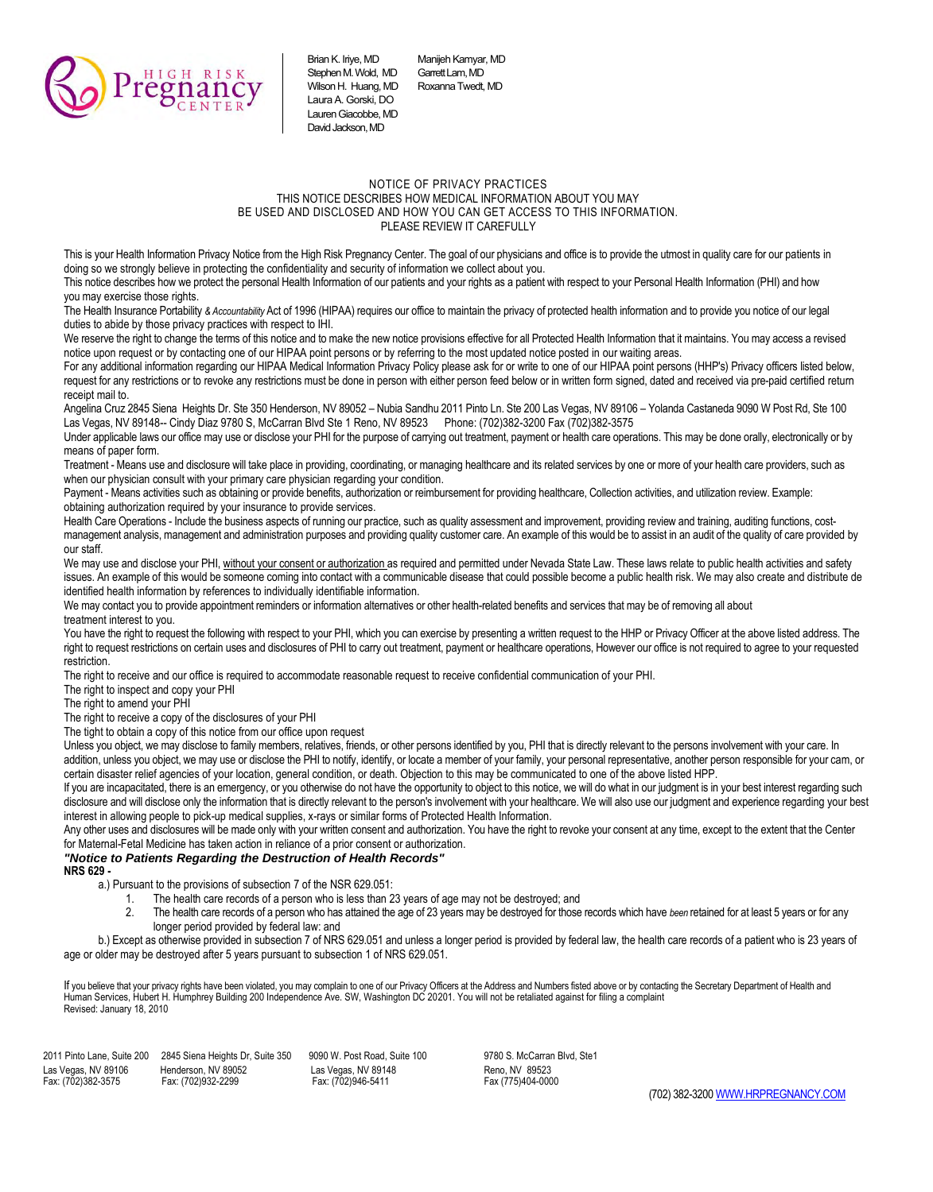

Brian K. Iriye, MD Manijeh Kamyar, MD<br>Stephen M. Wold. MD Garrett Lam. MD Stephen M. Wold, MD Garrett Lam, MD<br>Wilson H. Huang MD Roxanna Twedt MD Wilson H. Huang, MD Laura A. Gorski, DO Lauren Giacobbe, MD David Jackson, MD

#### NOTICE OF PRIVACY PRACTICES THIS NOTICE DESCRIBES HOW MEDICAL INFORMATION ABOUT YOU MAY BE USED AND DISCLOSED AND HOW YOU CAN GET ACCESS TO THIS INFORMATION. PLEASE REVIEW IT CAREFULLY

This is your Health Information Privacy Notice from the High Risk Pregnancy Center. The goal of our physicians and office is to provide the utmost in quality care for our patients in doing so we strongly believe in protecting the confidentiality and security of information we collect about you.

This notice describes how we protect the personal Health Information of our patients and your rights as a patient with respect to your Personal Health Information (PHI) and how you may exercise those rights.

The Health Insurance Portability & Accountability Act of 1996 (HIPAA) requires our office to maintain the privacy of protected health information and to provide you notice of our legal duties to abide by those privacy practices with respect to IHI.

We reserve the right to change the terms of this notice and to make the new notice provisions effective for all Protected Health Information that it maintains. You may access a revised notice upon request or by contacting one of our HIPAA point persons or by referring to the most updated notice posted in our waiting areas.

For any additional information regarding our HIPAA Medical Information Privacy Policy please ask for or write to one of our HIPAA point persons (HHP's) Privacy officers listed below, request for any restrictions or to revoke any restrictions must be done in person with either person feed below or in written form signed, dated and received via pre-paid certified return receipt mail to.

Angelina Cruz 2845 Siena Heights Dr. Ste 350 Henderson, NV 89052 – Nubia Sandhu 2011 Pinto Ln. Ste 200 Las Vegas, NV 89106 – Yolanda Castaneda 9090 W Post Rd, Ste 100 Las Vegas, NV 89148-- Cindy Diaz 9780 S, McCarran Blvd Ste 1 Reno, NV 89523 Phone: (702)382-3200 Fax (702)382-3575

Under applicable laws our office may use or disclose your PHI for the purpose of carrying out treatment, payment or health care operations. This may be done orally, electronically or by means of paper form.

Treatment - Means use and disclosure will take place in providing, coordinating, or managing healthcare and its related services by one or more of your health care providers, such as when our physician consult with your primary care physician regarding your condition.

Payment - Means activities such as obtaining or provide benefits, authorization or reimbursement for providing healthcare, Collection activities, and utilization review. Example: obtaining authorization required by your insurance to provide services.

Health Care Operations - Include the business aspects of running our practice, such as quality assessment and improvement, providing review and training, auditing functions, costmanagement analysis, management and administration purposes and providing quality customer care. An example of this would be to assist in an audit of the quality of care provided by our staff.

We may use and disclose your PHI, without your consent or authorization as required and permitted under Nevada State Law. These laws relate to public health activities and safety issues. An example of this would be someone coming into contact with a communicable disease that could possible become a public health risk. We may also create and distribute de identified health information by references to individually identifiable information.

We may contact you to provide appointment reminders or information alternatives or other health-related benefits and services that may be of removing all about treatment interest to you.

You have the right to request the following with respect to your PHI, which you can exercise by presenting a written request to the HHP or Privacy Officer at the above listed address. The right to request restrictions on certain uses and disclosures of PHI to carry out treatment, payment or healthcare operations, However our office is not required to agree to your requested restriction.

The right to receive and our office is required to accommodate reasonable request to receive confidential communication of your PHI.

The right to inspect and copy your PHI

The right to amend your PHI

The right to receive a copy of the disclosures of your PHI

The tight to obtain a copy of this notice from our office upon request

Unless you object, we may disclose to family members, relatives, friends, or other persons identified by you, PHI that is directly relevant to the persons involvement with your care. In addition, unless you object, we may use or disclose the PHI to notify, identify, or locate a member of your family, your personal representative, another person responsible for your cam, or certain disaster relief agencies of your location, general condition, or death. Objection to this may be communicated to one of the above listed HPP.

If you are incapacitated, there is an emergency, or you otherwise do not have the opportunity to object to this notice, we will do what in our judgment is in your best interest regarding such disclosure and will disclose only the information that is directly relevant to the person's involvement with your healthcare. We will also use our judgment and experience regarding your best interest in allowing people to pick-up medical supplies, x-rays or similar forms of Protected Health Information.

Any other uses and disclosures will be made only with your written consent and authorization. You have the right to revoke your consent at any time, except to the extent that the Center for Maternal-Fetal Medicine has taken action in reliance of a prior consent or authorization.

## *"Notice to Patients Regarding the Destruction of Health Records"*

**NRS 629 -**

a.) Pursuant to the provisions of subsection 7 of the NSR 629.051:

- 1. The health care records of a person who is less than 23 years of age may not be destroyed; and
- 2. The health care records of a person who has attained the age of 23 years may be destroyed for those records which have *been* retained for at least 5 years or for any longer period provided by federal law: and

b.) Except as otherwise provided in subsection 7 of NRS 629.051 and unless a longer period is provided by federal law, the health care records of a patient who is 23 years of age or older may be destroyed after 5 years pursuant to subsection 1 of NRS 629.051.

lf you believe that your privacy rights have been violated, you may complain to one of our Privacy Officers at the Address and Numbers fisted above or by contacting the Secretary Department of Health and<br>Human Services, Hu Revised: January 18, 2010

2011 Pinto Lane, Suite 200 2845 Siena Heights Dr, Suite 350 9090 W. Post Road, Suite 100 9780 S. McCarran Blvd, Ste1 Las Vegas, NV 89106 Henderson, NV 89052 Las Vegas, NV 89148 Reno, NV 89523 Fax: (702)946-5411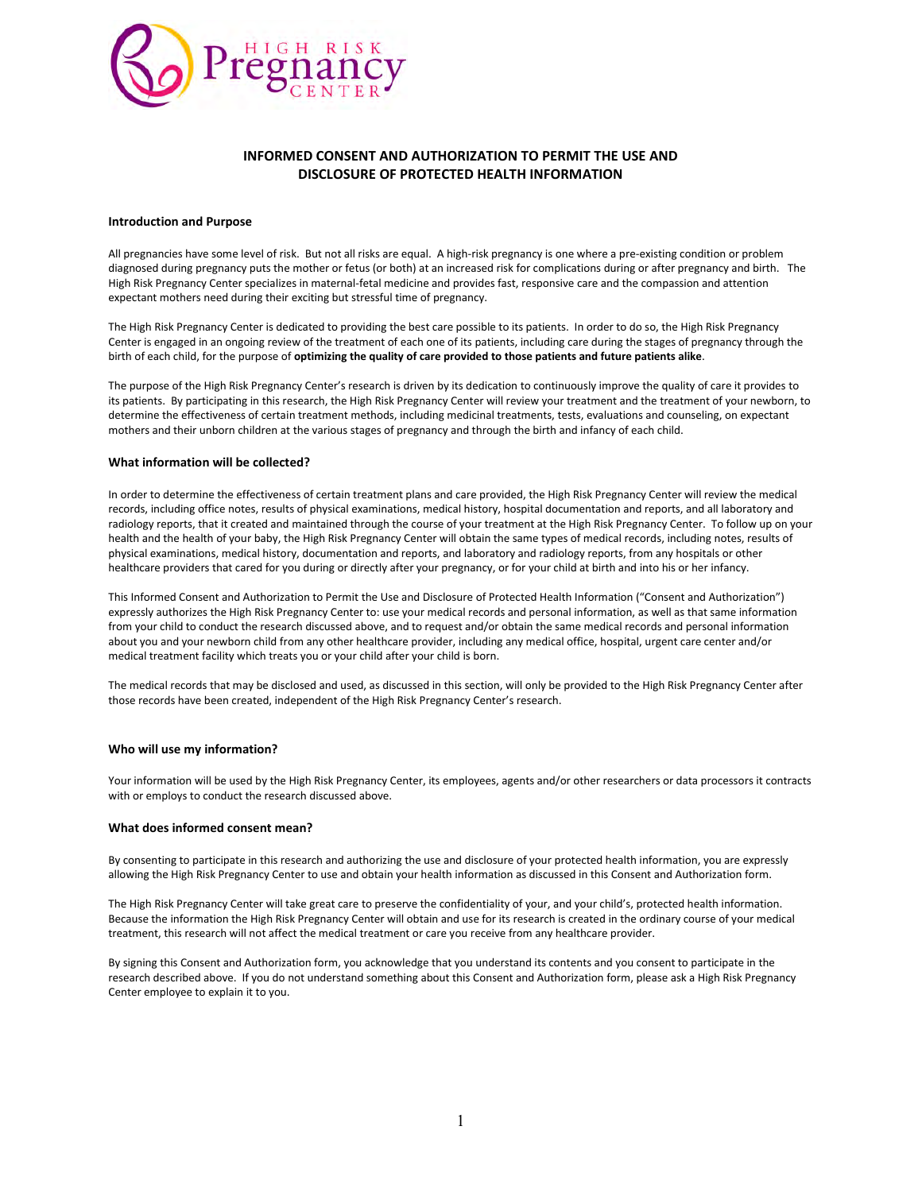

## **INFORMED CONSENT AND AUTHORIZATION TO PERMIT THE USE AND DISCLOSURE OF PROTECTED HEALTH INFORMATION**

#### **Introduction and Purpose**

All pregnancies have some level of risk. But not all risks are equal. A high-risk pregnancy is one where a pre-existing condition or problem diagnosed during pregnancy puts the mother or fetus (or both) at an increased risk for complications during or after pregnancy and birth. The High Risk Pregnancy Center specializes in maternal-fetal medicine and provides fast, responsive care and the compassion and attention expectant mothers need during their exciting but stressful time of pregnancy.

The High Risk Pregnancy Center is dedicated to providing the best care possible to its patients. In order to do so, the High Risk Pregnancy Center is engaged in an ongoing review of the treatment of each one of its patients, including care during the stages of pregnancy through the birth of each child, for the purpose of **optimizing the quality of care provided to those patients and future patients alike**.

The purpose of the High Risk Pregnancy Center's research is driven by its dedication to continuously improve the quality of care it provides to its patients. By participating in this research, the High Risk Pregnancy Center will review your treatment and the treatment of your newborn, to determine the effectiveness of certain treatment methods, including medicinal treatments, tests, evaluations and counseling, on expectant mothers and their unborn children at the various stages of pregnancy and through the birth and infancy of each child.

#### **What information will be collected?**

In order to determine the effectiveness of certain treatment plans and care provided, the High Risk Pregnancy Center will review the medical records, including office notes, results of physical examinations, medical history, hospital documentation and reports, and all laboratory and radiology reports, that it created and maintained through the course of your treatment at the High Risk Pregnancy Center. To follow up on your health and the health of your baby, the High Risk Pregnancy Center will obtain the same types of medical records, including notes, results of physical examinations, medical history, documentation and reports, and laboratory and radiology reports, from any hospitals or other healthcare providers that cared for you during or directly after your pregnancy, or for your child at birth and into his or her infancy.

This Informed Consent and Authorization to Permit the Use and Disclosure of Protected Health Information ("Consent and Authorization") expressly authorizes the High Risk Pregnancy Center to: use your medical records and personal information, as well as that same information from your child to conduct the research discussed above, and to request and/or obtain the same medical records and personal information about you and your newborn child from any other healthcare provider, including any medical office, hospital, urgent care center and/or medical treatment facility which treats you or your child after your child is born.

The medical records that may be disclosed and used, as discussed in this section, will only be provided to the High Risk Pregnancy Center after those records have been created, independent of the High Risk Pregnancy Center's research.

#### **Who will use my information?**

Your information will be used by the High Risk Pregnancy Center, its employees, agents and/or other researchers or data processors it contracts with or employs to conduct the research discussed above.

#### **What does informed consent mean?**

By consenting to participate in this research and authorizing the use and disclosure of your protected health information, you are expressly allowing the High Risk Pregnancy Center to use and obtain your health information as discussed in this Consent and Authorization form.

The High Risk Pregnancy Center will take great care to preserve the confidentiality of your, and your child's, protected health information. Because the information the High Risk Pregnancy Center will obtain and use for its research is created in the ordinary course of your medical treatment, this research will not affect the medical treatment or care you receive from any healthcare provider.

By signing this Consent and Authorization form, you acknowledge that you understand its contents and you consent to participate in the research described above. If you do not understand something about this Consent and Authorization form, please ask a High Risk Pregnancy Center employee to explain it to you.